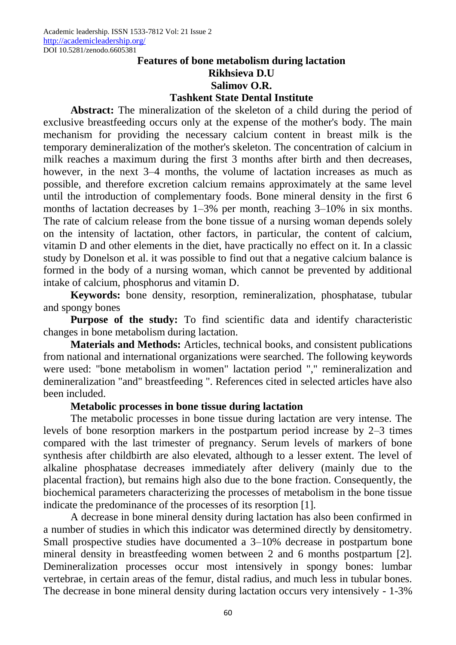#### **Features of bone metabolism during lactation**

# **Rikhsieva D.U**

#### **Salimov O.R.**

#### **Tashkent State Dental Institute**

**Abstract:** The mineralization of the skeleton of a child during the period of exclusive breastfeeding occurs only at the expense of the mother's body. The main mechanism for providing the necessary calcium content in breast milk is the temporary demineralization of the mother's skeleton. The concentration of calcium in milk reaches a maximum during the first 3 months after birth and then decreases, however, in the next 3–4 months, the volume of lactation increases as much as possible, and therefore excretion calcium remains approximately at the same level until the introduction of complementary foods. Bone mineral density in the first 6 months of lactation decreases by 1–3% per month, reaching 3–10% in six months. The rate of calcium release from the bone tissue of a nursing woman depends solely on the intensity of lactation, other factors, in particular, the content of calcium, vitamin D and other elements in the diet, have practically no effect on it. In a classic study by Donelson et al. it was possible to find out that a negative calcium balance is formed in the body of a nursing woman, which cannot be prevented by additional intake of calcium, phosphorus and vitamin D.

**Keywords:** bone density, resorption, remineralization, phosphatase, tubular and spongy bones

**Purpose of the study:** To find scientific data and identify characteristic changes in bone metabolism during lactation.

**Materials and Methods:** Articles, technical books, and consistent publications from national and international organizations were searched. The following keywords were used: "bone metabolism in women" lactation period "," remineralization and demineralization "and" breastfeeding ". References cited in selected articles have also been included.

## **Metabolic processes in bone tissue during lactation**

The metabolic processes in bone tissue during lactation are very intense. The levels of bone resorption markers in the postpartum period increase by 2–3 times compared with the last trimester of pregnancy. Serum levels of markers of bone synthesis after childbirth are also elevated, although to a lesser extent. The level of alkaline phosphatase decreases immediately after delivery (mainly due to the placental fraction), but remains high also due to the bone fraction. Consequently, the biochemical parameters characterizing the processes of metabolism in the bone tissue indicate the predominance of the processes of its resorption [1].

A decrease in bone mineral density during lactation has also been confirmed in a number of studies in which this indicator was determined directly by densitometry. Small prospective studies have documented a 3–10% decrease in postpartum bone mineral density in breastfeeding women between 2 and 6 months postpartum [2]. Demineralization processes occur most intensively in spongy bones: lumbar vertebrae, in certain areas of the femur, distal radius, and much less in tubular bones. The decrease in bone mineral density during lactation occurs very intensively - 1-3%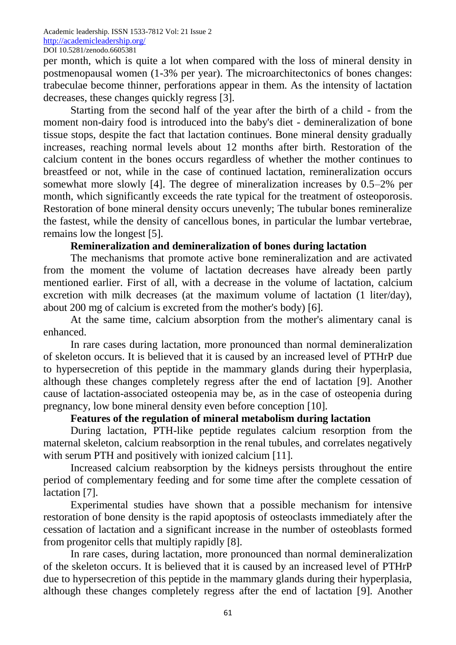Academic leadership. ISSN 1533-7812 Vol: 21 Issue 2 <http://academicleadership.org/> DOI 10.5281/zenodo.6605381

per month, which is quite a lot when compared with the loss of mineral density in postmenopausal women (1-3% per year). The microarchitectonics of bones changes: trabeculae become thinner, perforations appear in them. As the intensity of lactation decreases, these changes quickly regress [3].

Starting from the second half of the year after the birth of a child - from the moment non-dairy food is introduced into the baby's diet - demineralization of bone tissue stops, despite the fact that lactation continues. Bone mineral density gradually increases, reaching normal levels about 12 months after birth. Restoration of the calcium content in the bones occurs regardless of whether the mother continues to breastfeed or not, while in the case of continued lactation, remineralization occurs somewhat more slowly [4]. The degree of mineralization increases by 0.5–2% per month, which significantly exceeds the rate typical for the treatment of osteoporosis. Restoration of bone mineral density occurs unevenly; The tubular bones remineralize the fastest, while the density of cancellous bones, in particular the lumbar vertebrae, remains low the longest [5].

## **Remineralization and demineralization of bones during lactation**

The mechanisms that promote active bone remineralization and are activated from the moment the volume of lactation decreases have already been partly mentioned earlier. First of all, with a decrease in the volume of lactation, calcium excretion with milk decreases (at the maximum volume of lactation (1 liter/day), about 200 mg of calcium is excreted from the mother's body) [6].

At the same time, calcium absorption from the mother's alimentary canal is enhanced.

In rare cases during lactation, more pronounced than normal demineralization of skeleton occurs. It is believed that it is caused by an increased level of PTHrP due to hypersecretion of this peptide in the mammary glands during their hyperplasia, although these changes completely regress after the end of lactation [9]. Another cause of lactation-associated osteopenia may be, as in the case of osteopenia during pregnancy, low bone mineral density even before conception [10].

## **Features of the regulation of mineral metabolism during lactation**

During lactation, PTH-like peptide regulates calcium resorption from the maternal skeleton, calcium reabsorption in the renal tubules, and correlates negatively with serum PTH and positively with ionized calcium [11].

Increased calcium reabsorption by the kidneys persists throughout the entire period of complementary feeding and for some time after the complete cessation of lactation [7].

Experimental studies have shown that a possible mechanism for intensive restoration of bone density is the rapid apoptosis of osteoclasts immediately after the cessation of lactation and a significant increase in the number of osteoblasts formed from progenitor cells that multiply rapidly [8].

In rare cases, during lactation, more pronounced than normal demineralization of the skeleton occurs. It is believed that it is caused by an increased level of PTHrP due to hypersecretion of this peptide in the mammary glands during their hyperplasia, although these changes completely regress after the end of lactation [9]. Another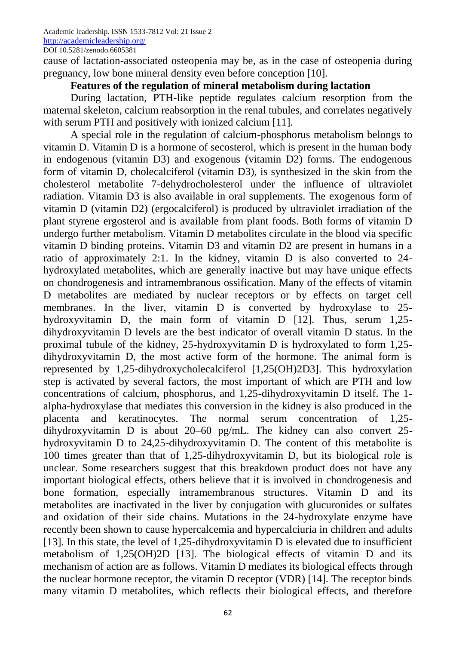Academic leadership. ISSN 1533-7812 Vol: 21 Issue 2 <http://academicleadership.org/>

DOI 10.5281/zenodo.6605381

cause of lactation-associated osteopenia may be, as in the case of osteopenia during pregnancy, low bone mineral density even before conception [10].

## **Features of the regulation of mineral metabolism during lactation**

During lactation, PTH-like peptide regulates calcium resorption from the maternal skeleton, calcium reabsorption in the renal tubules, and correlates negatively with serum PTH and positively with ionized calcium [11].

A special role in the regulation of calcium-phosphorus metabolism belongs to vitamin D. Vitamin D is a hormone of secosterol, which is present in the human body in endogenous (vitamin D3) and exogenous (vitamin D2) forms. The endogenous form of vitamin D, cholecalciferol (vitamin D3), is synthesized in the skin from the cholesterol metabolite 7-dehydrocholesterol under the influence of ultraviolet radiation. Vitamin D3 is also available in oral supplements. The exogenous form of vitamin D (vitamin D2) (ergocalciferol) is produced by ultraviolet irradiation of the plant styrene ergosterol and is available from plant foods. Both forms of vitamin D undergo further metabolism. Vitamin D metabolites circulate in the blood via specific vitamin D binding proteins. Vitamin D3 and vitamin D2 are present in humans in a ratio of approximately 2:1. In the kidney, vitamin D is also converted to 24 hydroxylated metabolites, which are generally inactive but may have unique effects on chondrogenesis and intramembranous ossification. Many of the effects of vitamin D metabolites are mediated by nuclear receptors or by effects on target cell membranes. In the liver, vitamin D is converted by hydroxylase to 25 hydroxyvitamin D, the main form of vitamin D [12]. Thus, serum 1,25 dihydroxyvitamin D levels are the best indicator of overall vitamin D status. In the proximal tubule of the kidney, 25-hydroxyvitamin D is hydroxylated to form 1,25 dihydroxyvitamin D, the most active form of the hormone. The animal form is represented by 1,25-dihydroxycholecalciferol [1,25(OH)2D3]. This hydroxylation step is activated by several factors, the most important of which are PTH and low concentrations of calcium, phosphorus, and 1,25-dihydroxyvitamin D itself. The 1 alpha-hydroxylase that mediates this conversion in the kidney is also produced in the placenta and keratinocytes. The normal serum concentration of 1,25 dihydroxyvitamin D is about 20–60 pg/mL. The kidney can also convert 25 hydroxyvitamin D to 24,25-dihydroxyvitamin D. The content of this metabolite is 100 times greater than that of 1,25-dihydroxyvitamin D, but its biological role is unclear. Some researchers suggest that this breakdown product does not have any important biological effects, others believe that it is involved in chondrogenesis and bone formation, especially intramembranous structures. Vitamin D and its metabolites are inactivated in the liver by conjugation with glucuronides or sulfates and oxidation of their side chains. Mutations in the 24-hydroxylate enzyme have recently been shown to cause hypercalcemia and hypercalciuria in children and adults [13]. In this state, the level of 1,25-dihydroxyvitamin D is elevated due to insufficient metabolism of 1,25(OH)2D [13]. The biological effects of vitamin D and its mechanism of action are as follows. Vitamin D mediates its biological effects through the nuclear hormone receptor, the vitamin D receptor (VDR) [14]. The receptor binds many vitamin D metabolites, which reflects their biological effects, and therefore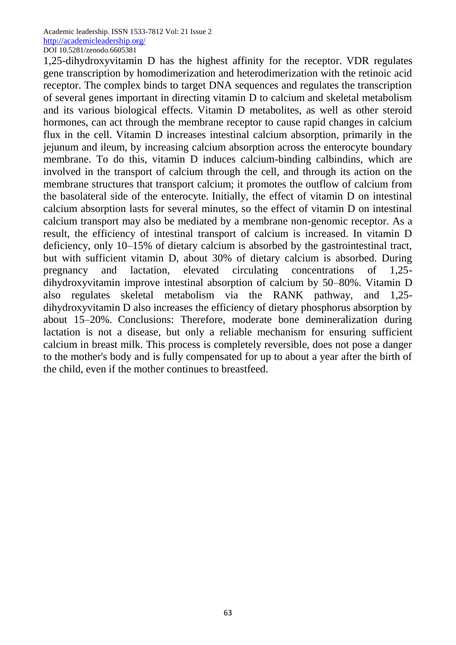Academic leadership. ISSN 1533-7812 Vol: 21 Issue 2 <http://academicleadership.org/> DOI 10.5281/zenodo.6605381

1,25-dihydroxyvitamin D has the highest affinity for the receptor. VDR regulates gene transcription by homodimerization and heterodimerization with the retinoic acid receptor. The complex binds to target DNA sequences and regulates the transcription of several genes important in directing vitamin D to calcium and skeletal metabolism and its various biological effects. Vitamin D metabolites, as well as other steroid hormones, can act through the membrane receptor to cause rapid changes in calcium flux in the cell. Vitamin D increases intestinal calcium absorption, primarily in the jejunum and ileum, by increasing calcium absorption across the enterocyte boundary membrane. To do this, vitamin D induces calcium-binding calbindins, which are involved in the transport of calcium through the cell, and through its action on the membrane structures that transport calcium; it promotes the outflow of calcium from the basolateral side of the enterocyte. Initially, the effect of vitamin D on intestinal calcium absorption lasts for several minutes, so the effect of vitamin D on intestinal calcium transport may also be mediated by a membrane non-genomic receptor. As a result, the efficiency of intestinal transport of calcium is increased. In vitamin D deficiency, only 10–15% of dietary calcium is absorbed by the gastrointestinal tract, but with sufficient vitamin D, about 30% of dietary calcium is absorbed. During pregnancy and lactation, elevated circulating concentrations of 1,25 dihydroxyvitamin improve intestinal absorption of calcium by 50–80%. Vitamin D also regulates skeletal metabolism via the RANK pathway, and 1,25 dihydroxyvitamin D also increases the efficiency of dietary phosphorus absorption by about 15–20%. Conclusions: Therefore, moderate bone demineralization during lactation is not a disease, but only a reliable mechanism for ensuring sufficient calcium in breast milk. This process is completely reversible, does not pose a danger to the mother's body and is fully compensated for up to about a year after the birth of the child, even if the mother continues to breastfeed.